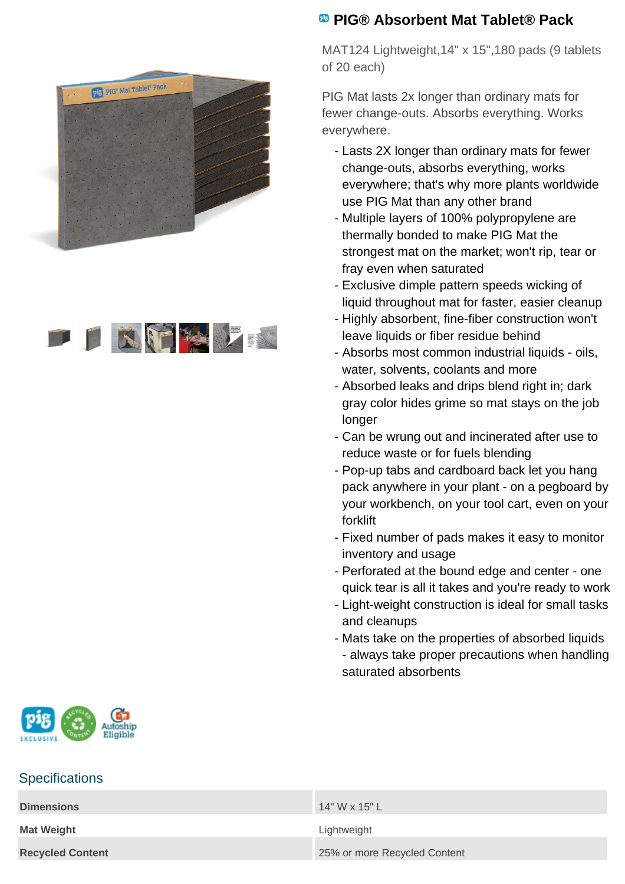



## **PIG® Absorbent Mat Tablet® Pack**

MAT124 Lightweight,14" x 15",180 pads (9 tablets of 20 each)

PIG Mat lasts 2x longer than ordinary mats for fewer change-outs. Absorbs everything. Works everywhere.

- Lasts 2X longer than ordinary mats for fewer change-outs, absorbs everything, works everywhere; that's why more plants worldwide use PIG Mat than any other brand
- Multiple layers of 100% polypropylene are thermally bonded to make PIG Mat the strongest mat on the market; won't rip, tear or fray even when saturated
- Exclusive dimple pattern speeds wicking of liquid throughout mat for faster, easier cleanup
- Highly absorbent, fine-fiber construction won't leave liquids or fiber residue behind
- Absorbs most common industrial liquids oils, water, solvents, coolants and more
- Absorbed leaks and drips blend right in; dark gray color hides grime so mat stays on the job longer
- Can be wrung out and incinerated after use to reduce waste or for fuels blending
- Pop-up tabs and cardboard back let you hang pack anywhere in your plant - on a pegboard by your workbench, on your tool cart, even on your forklift
- Fixed number of pads makes it easy to monitor inventory and usage
- Perforated at the bound edge and center one quick tear is all it takes and you're ready to work
- Light-weight construction is ideal for small tasks and cleanups
- Mats take on the properties of absorbed liquids - always take proper precautions when handling saturated absorbents



## **Specifications**

| <b>Dimensions</b>       | 14" W x 15" L                |
|-------------------------|------------------------------|
| <b>Mat Weight</b>       | Lightweight                  |
| <b>Recycled Content</b> | 25% or more Recycled Content |